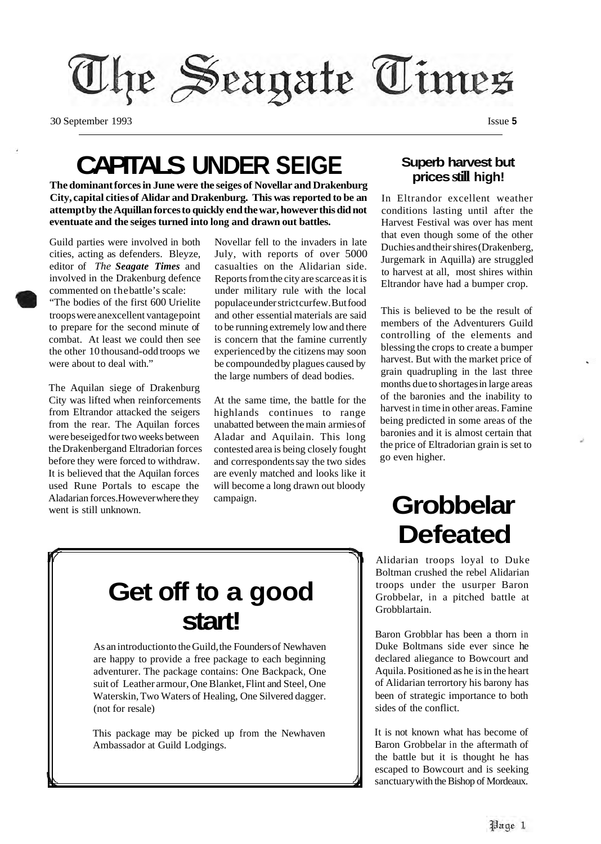

30 September 1993 Issue **5** 

### **CAPITALS UNDER SEIGE**

**The dominant forces in June were the seiges of Novellar and Drakenburg City, capital cities of Alidar and Drakenburg. This was reported to be an attempt by the Aquillan forces to quickly end the war, however this did not eventuate and the seiges turned into long and drawn out battles.** 

Guild parties were involved in both cities, acting as defenders. Bleyze, editor of *The Seagate Times* and involved in the Drakenburg defence commented on thebattle's scale: "The bodies of the first 600 Urielite troops were anexcellent vantage point to prepare for the second minute of combat. At least we could then see the other 10 thousand-odd troops we were about to deal with."

The Aquilan siege of Drakenburg City was lifted when reinforcements from Eltrandor attacked the seigers from the rear. The Aquilan forces were beseiged for two weeks between the Drakenberg and Eltradorian forces before they were forced to withdraw. It is believed that the Aquilan forces used Rune Portals to escape the Aladarian forces. However where they went is still unknown.

Novellar fell to the invaders in late July, with reports of over 5000 casualties on the Alidarian side. Reports from the city are scarce as it is under military rule with the local populace under strict curfew. But food and other essential materials are said to be running extremely low and there is concern that the famine currently experienced by the citizens may soon be compounded by plagues caused by the large numbers of dead bodies.

At the same time, the battle for the highlands continues to range unabatted between the main armies of Aladar and Aquilain. This long contested area is being closely fought and correspondents say the two sides are evenly matched and looks like it will become a long drawn out bloody campaign.

#### **Superb harvest but prices still high!**

In Eltrandor excellent weather conditions lasting until after the Harvest Festival was over has ment that even though some of the other Duchies and their shires (Drakenberg, Jurgemark in Aquilla) are struggled to harvest at all, most shires within Eltrandor have had a bumper crop.

This is believed to be the result of members of the Adventurers Guild controlling of the elements and blessing the crops to create a bumper harvest. But with the market price of grain quadrupling in the last three months due to shortages in large areas of the baronies and the inability to harvest in time in other areas. Famine being predicted in some areas of the baronies and it is almost certain that the price of Eltradorian grain is set to go even higher.

### **Defeated**  Alidarian troops loyal to Duke

Boltman crushed the rebel Alidarian troops under the usurper Baron Grobbelar, in a pitched battle at Grobblartain.

**Grobbelar** 

Baron Grobblar has been a thorn in Duke Boltmans side ever since he declared aliegance to Bowcourt and Aquila. Positioned as he is in the heart of Alidarian terrortory his barony has been of strategic importance to both sides of the conflict.

It is not known what has become of Baron Grobbelar in the aftermath of the battle but it is thought he has escaped to Bowcourt and is seeking sanctuary with the Bishop of Mordeaux.

### **Get off to a good start!**

As an introduction to the Guild, the Founders of Newhaven are happy to provide a free package to each beginning adventurer. The package contains: One Backpack, One suit of Leather armour, One Blanket, Flint and Steel, One Waterskin, Two Waters of Healing, One Silvered dagger. (not for resale)

This package may be picked up from the Newhaven Ambassador at Guild Lodgings.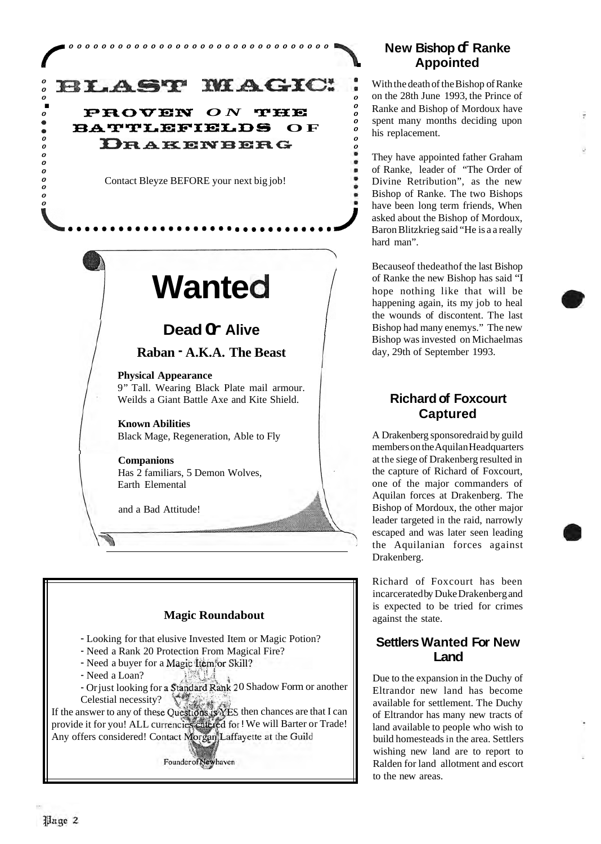### *0 0*  **BLAST MAGIC:**<br>PROVEN ON THE

*0 0* 

*0* **DRAKENBERG BATTLEFIELDS OF** 

Contact Bleyze BEFORE your next big job!

# **Wanted**

#### **Dead Or Alive**

#### **Raban** - **A.K.A. The Beast**

**Physical Appearance**  9" Tall. Wearing Black Plate mail armour. Weilds a Giant Battle Axe and Kite Shield.

**Known Abilities**  Black Mage, Regeneration, Able to Fly

**Companions**  Has 2 familiars, 5 Demon Wolves, Earth Elemental

and a Bad Attitude!

#### **Magic Roundabout**

- Looking for that elusive Invested Item or Magic Potion?
- Need a Rank 20 Protection From Magical Fire?
- Need a buyer for a Magic Item for Skill?
- Need a Loan?

I

- Or just looking for a Standard Rank 20 Shadow Form or another Celestial necessity?

If the answer to any of these Questions is YES then chances are that I can provide it for you! ALL currencies catered for ! We will Barter or Trade! Any offers considered! Contact Morgan Laffayette at the Guild

Founder of Newhaven

#### **New Bishop of Ranke Appointed**

.

*0 0* 

With the death of the Bishop of Ranke on the 28th June 1993, the Prince of Ranke and Bishop of Mordoux have spent many months deciding upon his replacement.

They have appointed father Graham of Ranke, leader of "The Order of Divine Retribution", as the new Bishop of Ranke. The two Bishops have been long term friends, When asked about the Bishop of Mordoux, Baron Blitzkrieg said "He is a a really hard man".

Becauseof thedeathof the last Bishop of Ranke the new Bishop has said "I hope nothing like that will be happening again, its my job to heal the wounds of discontent. The last Bishop had many enemys." The new Bishop was invested on Michaelmas day, 29th of September 1993.

#### **Richard of Foxcourt Captured**

A Drakenberg sponsoredraid by guild members on the Aquilan Headquarters at the siege of Drakenberg resulted in the capture of Richard of Foxcourt, one of the major commanders of Aquilan forces at Drakenberg. The Bishop of Mordoux, the other major leader targeted in the raid, narrowly escaped and was later seen leading the Aquilanian forces against Drakenberg.

Richard of Foxcourt has been incarcerated by Duke Drakenberg and is expected to be tried for crimes against the state.

#### **Settlers Wanted For New Land**

Due to the expansion in the Duchy of Eltrandor new land has become available for settlement. The Duchy of Eltrandor has many new tracts of land available to people who wish to build homesteads in the area. Settlers wishing new land are to report to Ralden for land allotment and escort to the new areas.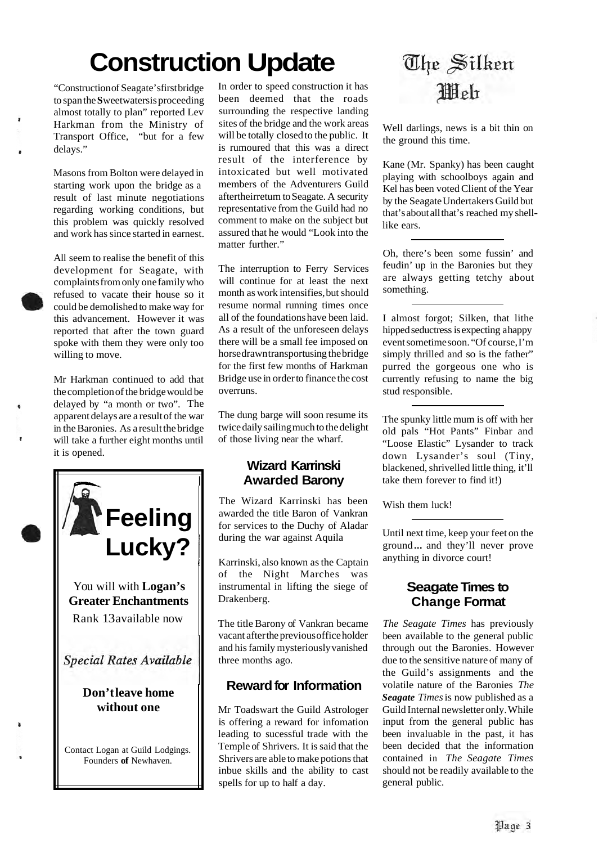## **Construction Update**

"Construction of Seagate's first bridge to span the **S** weetwaters is proceeding almost totally to plan" reported Lev Harkman from the Ministry of Transport Office, "but for a few delays."

Masons from Bolton were delayed in starting work upon the bridge as a result of last minute negotiations regarding working conditions, but this problem was quickly resolved and work has since started in earnest.

All seem to realise the benefit of this development for Seagate, with complaints from only one family who refused to vacate their house so it could be demolished to make way for this advancement. However it was reported that after the town guard spoke with them they were only too willing to move.

Mr Harkman continued to add that the completion of the bridge would be delayed by "a month or two". The apparent delays are a result of the war in the Baronies. As a result the bridge will take a further eight months until it is opened.



In order to speed construction it has been deemed that the roads surrounding the respective landing sites of the bridge and the work areas will be totally closed to the public. It is rumoured that this was a direct result of the interference by intoxicated but well motivated members of the Adventurers Guild aftertheirretum to Seagate. A security representative from the Guild had no comment to make on the subject but assured that he would "Look into the matter further."

The interruption to Ferry Services will continue for at least the next month as work intensifies, but should resume normal running times once all of the foundations have been laid. As a result of the unforeseen delays there will be a small fee imposed on horse drawn transportusing the bridge for the first few months of Harkman Bridge use in order to finance the cost overruns.

The dung barge will soon resume its twice daily sailing much to the delight of those living near the wharf.

#### **Wizard Karrinski Awarded Barony**

The Wizard Karrinski has been awarded the title Baron of Vankran for services to the Duchy of Aladar during the war against Aquila

Karrinski, also known as the Captain of the Night Marches was instrumental in lifting the siege of Drakenberg.

The title Barony of Vankran became vacant after the previous office holder and his family mysteriously vanished three months ago.

#### **Reward for Information**

Mr Toadswart the Guild Astrologer is offering a reward for infomation leading to sucessful trade with the Temple of Shrivers. It is said that the Shrivers are able to make potions that inbue skills and the ability to cast spells for up to half a day.

### The Silken **Illeh**

Well darlings, news is a bit thin on the ground this time.

Kane (Mr. Spanky) has been caught playing with schoolboys again and Kel has been voted Client of the Year by the Seagate Undertakers Guild but that's about all that's reached my shelllike ears.

Oh, there's been some fussin' and feudin' up in the Baronies but they are always getting tetchy about something.

I almost forgot; Silken, that lithe hipped seductress is expecting a happy event sometime soon. "Of course, I'm simply thrilled and so is the father" purred the gorgeous one who is currently refusing to name the big stud responsible.

The spunky little mum is off with her old pals "Hot Pants" Finbar and "Loose Elastic" Lysander to track down Lysander's soul (Tiny, blackened, shrivelled little thing, it'll take them forever to find it!)

Wish them luck!

Until next time, keep your feet on the ground ... and they'll never prove anything in divorce court!

#### **Seagate Times to Change Format**

*The Seagate Times* has previously been available to the general public through out the Baronies. However due to the sensitive nature of many of the Guild's assignments and the volatile nature of the Baronies *The Seagate Times* is now published as a Guild Internal newsletter only. While input from the general public has been invaluable in the past, it has been decided that the information contained in *The Seagate Times*  should not be readily available to the general public.